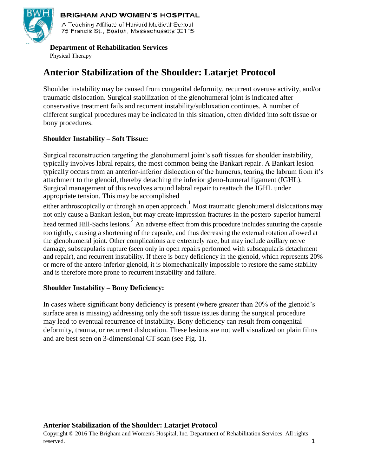

#### **BRIGHAM AND WOMEN'S HOSPITAL**

A Teaching Affiliate of Harvard Medical School 75 Francis St., Boston, Massachusetts 02115

#### **Department of Rehabilitation Services**

Physical Therapy

## **Anterior Stabilization of the Shoulder: Latarjet Protocol**

Shoulder instability may be caused from congenital deformity, recurrent overuse activity, and/or traumatic dislocation. Surgical stabilization of the glenohumeral joint is indicated after conservative treatment fails and recurrent instability/subluxation continues. A number of different surgical procedures may be indicated in this situation, often divided into soft tissue or bony procedures.

#### **Shoulder Instability – Soft Tissue:**

Surgical reconstruction targeting the glenohumeral joint's soft tissues for shoulder instability, typically involves labral repairs, the most common being the Bankart repair. A Bankart lesion typically occurs from an anterior-inferior dislocation of the humerus, tearing the labrum from it's attachment to the glenoid, thereby detaching the inferior gleno-humeral ligament (IGHL). Surgical management of this revolves around labral repair to reattach the IGHL under appropriate tension. This may be accomplished

either arthroscopically or through an open approach.<sup>1</sup> Most traumatic glenohumeral dislocations may not only cause a Bankart lesion, but may create impression fractures in the postero-superior humeral head termed Hill-Sachs lesions.<sup>2</sup> An adverse effect from this procedure includes suturing the capsule too tightly, causing a shortening of the capsule, and thus decreasing the external rotation allowed at the glenohumeral joint. Other complications are extremely rare, but may include axillary nerve damage, subscapularis rupture (seen only in open repairs performed with subscapularis detachment and repair), and recurrent instability. If there is bony deficiency in the glenoid, which represents 20% or more of the antero-inferior glenoid, it is biomechanically impossible to restore the same stability and is therefore more prone to recurrent instability and failure.

#### **Shoulder Instability – Bony Deficiency:**

In cases where significant bony deficiency is present (where greater than 20% of the glenoid's surface area is missing) addressing only the soft tissue issues during the surgical procedure may lead to eventual recurrence of instability. Bony deficiency can result from congenital deformity, trauma, or recurrent dislocation. These lesions are not well visualized on plain films and are best seen on 3-dimensional CT scan (see Fig. 1).

#### **Anterior Stabilization of the Shoulder: Latarjet Protocol**

Copyright © 2016 The Brigham and Women's Hospital, Inc. Department of Rehabilitation Services. All rights reserved. The served of the served of the served of the served of the served of the served of the served of the served of the served of the served of the served of the served of the served of the served of the served of th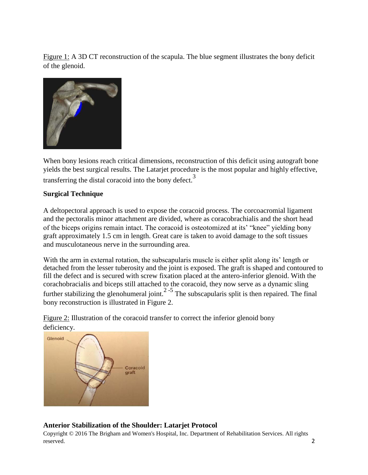Figure 1: A 3D CT reconstruction of the scapula. The blue segment illustrates the bony deficit of the glenoid.



When bony lesions reach critical dimensions, reconstruction of this deficit using autograft bone yields the best surgical results. The Latarjet procedure is the most popular and highly effective, transferring the distal coracoid into the bony defect.<sup>3</sup>

#### **Surgical Technique**

A deltopectoral approach is used to expose the coracoid process. The corcoacromial ligament and the pectoralis minor attachment are divided, where as coracobrachialis and the short head of the biceps origins remain intact. The coracoid is osteotomized at its' "knee" yielding bony graft approximately 1.5 cm in length. Great care is taken to avoid damage to the soft tissues and musculotaneous nerve in the surrounding area.

With the arm in external rotation, the subscapularis muscle is either split along its' length or detached from the lesser tuberosity and the joint is exposed. The graft is shaped and contoured to fill the defect and is secured with screw fixation placed at the antero-inferior glenoid. With the corachobracialis and biceps still attached to the coracoid, they now serve as a dynamic sling further stabilizing the glenohumeral joint.<sup>2-5</sup> The subscapularis split is then repaired. The final bony reconstruction is illustrated in Figure 2.

Figure 2: Illustration of the coracoid transfer to correct the inferior glenoid bony deficiency.



#### **Anterior Stabilization of the Shoulder: Latarjet Protocol**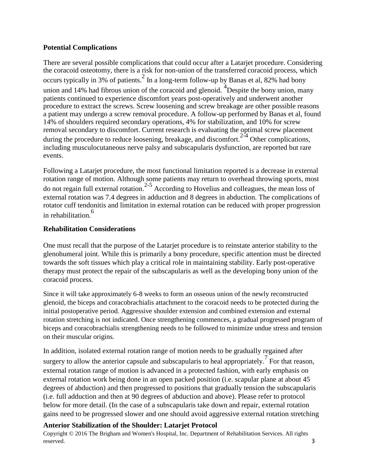#### **Potential Complications**

There are several possible complications that could occur after a Latarjet procedure. Considering the coracoid osteotomy, there is a risk for non-union of the transferred coracoid process, which occurs typically in 3% of patients.  $\frac{2}{3}$  In a long-term follow-up by Banas et al, 82% had bony union and 14% had fibrous union of the coracoid and glenoid.  $\frac{4}{\text{Despite}}$  the bony union, many patients continued to experience discomfort years post-operatively and underwent another procedure to extract the screws. Screw loosening and screw breakage are other possible reasons a patient may undergo a screw removal procedure. A follow-up performed by Banas et al, found 14% of shoulders required secondary operations, 4% for stabilization, and 10% for screw removal secondary to discomfort. Current research is evaluating the optimal screw placement during the procedure to reduce loosening, breakage, and discomfort.<sup>2-4</sup> Other complications, including musculocutaneous nerve palsy and subscapularis dysfunction, are reported but rare events.

Following a Latarjet procedure, the most functional limitation reported is a decrease in external rotation range of motion. Although some patients may return to overhead throwing sports, most  $\frac{6}{10}$  do not regain full external rotation.<sup>2-5</sup> According to Hovelius and colleagues, the mean loss of external rotation was 7.4 degrees in adduction and 8 degrees in abduction. The complications of rotator cuff tendonitis and limitation in external rotation can be reduced with proper progression in rehabilitation.<sup>6</sup>

#### **Rehabilitation Considerations**

One must recall that the purpose of the Latarjet procedure is to reinstate anterior stability to the glenohumeral joint. While this is primarily a bony procedure, specific attention must be directed towards the soft tissues which play a critical role in maintaining stability. Early post-operative therapy must protect the repair of the subscapularis as well as the developing bony union of the coracoid process.

Since it will take approximately 6-8 weeks to form an osseous union of the newly reconstructed glenoid, the biceps and coracobrachialis attachment to the coracoid needs to be protected during the initial postoperative period. Aggressive shoulder extension and combined extension and external rotation stretching is not indicated. Once strengthening commences, a gradual progressed program of biceps and coracobrachialis strengthening needs to be followed to minimize undue stress and tension on their muscular origins.

In addition, isolated external rotation range of motion needs to be gradually regained after surgery to allow the anterior capsule and subscapularis to heal appropriately.<sup>7</sup> For that reason, external rotation range of motion is advanced in a protected fashion, with early emphasis on external rotation work being done in an open packed position (i.e. scapular plane at about 45 degrees of abduction) and then progressed to positions that gradually tension the subscapularis (i.e. full adduction and then at 90 degrees of abduction and above). Please refer to protocol below for more detail. (In the case of a subscapularis take down and repair, external rotation gains need to be progressed slower and one should avoid aggressive external rotation stretching

#### **Anterior Stabilization of the Shoulder: Latarjet Protocol**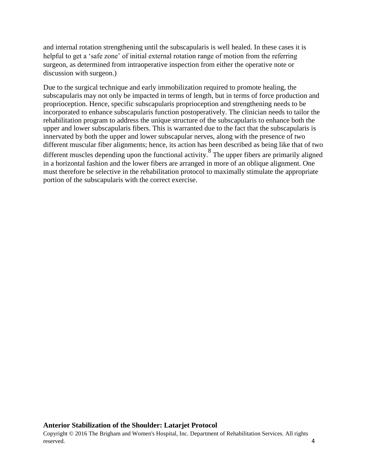and internal rotation strengthening until the subscapularis is well healed. In these cases it is helpful to get a 'safe zone' of initial external rotation range of motion from the referring surgeon, as determined from intraoperative inspection from either the operative note or discussion with surgeon.)

Due to the surgical technique and early immobilization required to promote healing, the subscapularis may not only be impacted in terms of length, but in terms of force production and proprioception. Hence, specific subscapularis proprioception and strengthening needs to be incorporated to enhance subscapularis function postoperatively. The clinician needs to tailor the rehabilitation program to address the unique structure of the subscapularis to enhance both the upper and lower subscapularis fibers. This is warranted due to the fact that the subscapularis is innervated by both the upper and lower subscapular nerves, along with the presence of two different muscular fiber alignments; hence, its action has been described as being like that of two different muscles depending upon the functional activity.<sup>8</sup> The upper fibers are primarily aligned in a horizontal fashion and the lower fibers are arranged in more of an oblique alignment. One must therefore be selective in the rehabilitation protocol to maximally stimulate the appropriate portion of the subscapularis with the correct exercise.

#### **Anterior Stabilization of the Shoulder: Latarjet Protocol**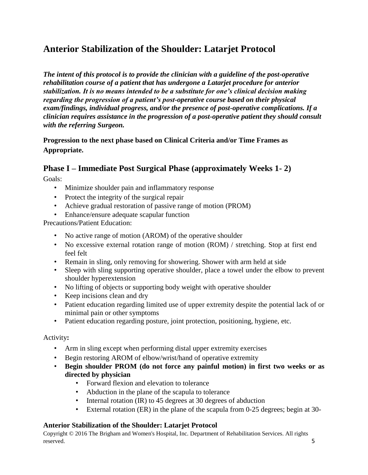# **Anterior Stabilization of the Shoulder: Latarjet Protocol**

*The intent of this protocol is to provide the clinician with a guideline of the post-operative rehabilitation course of a patient that has undergone a Latarjet procedure for anterior stabilization. It is no means intended to be a substitute for one's clinical decision making regarding the progression of a patient's post-operative course based on their physical exam/findings, individual progress, and/or the presence of post-operative complications. If a clinician requires assistance in the progression of a post-operative patient they should consult with the referring Surgeon.*

**Progression to the next phase based on Clinical Criteria and/or Time Frames as Appropriate.**

## **Phase I – Immediate Post Surgical Phase (approximately Weeks 1- 2)**

Goals:

- Minimize shoulder pain and inflammatory response
- Protect the integrity of the surgical repair
- Achieve gradual restoration of passive range of motion (PROM)
- Enhance/ensure adequate scapular function

Precautions/Patient Education:

- No active range of motion (AROM) of the operative shoulder
- No excessive external rotation range of motion (ROM) / stretching. Stop at first end feel felt
- Remain in sling, only removing for showering. Shower with arm held at side
- Sleep with sling supporting operative shoulder, place a towel under the elbow to prevent shoulder hyperextension
- No lifting of objects or supporting body weight with operative shoulder
- Keep incisions clean and dry
- Patient education regarding limited use of upper extremity despite the potential lack of or minimal pain or other symptoms
- Patient education regarding posture, joint protection, positioning, hygiene, etc.

#### Activity**:**

- Arm in sling except when performing distal upper extremity exercises
- Begin restoring AROM of elbow/wrist/hand of operative extremity
- **Begin shoulder PROM (do not force any painful motion) in first two weeks or as directed by physician**
	- Forward flexion and elevation to tolerance
	- Abduction in the plane of the scapula to tolerance
	- Internal rotation (IR) to 45 degrees at 30 degrees of abduction
	- External rotation (ER) in the plane of the scapula from 0-25 degrees; begin at 30-

#### **Anterior Stabilization of the Shoulder: Latarjet Protocol**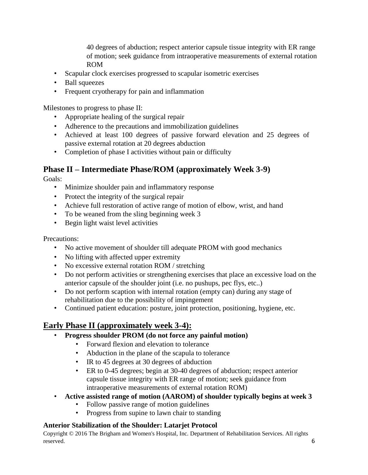40 degrees of abduction; respect anterior capsule tissue integrity with ER range of motion; seek guidance from intraoperative measurements of external rotation ROM

- Scapular clock exercises progressed to scapular isometric exercises
- Ball squeezes
- Frequent cryotherapy for pain and inflammation

Milestones to progress to phase II:

- Appropriate healing of the surgical repair
- Adherence to the precautions and immobilization guidelines
- Achieved at least 100 degrees of passive forward elevation and 25 degrees of passive external rotation at 20 degrees abduction
- Completion of phase I activities without pain or difficulty

## **Phase II – Intermediate Phase/ROM (approximately Week 3-9)**

Goals:

- Minimize shoulder pain and inflammatory response
- Protect the integrity of the surgical repair
- Achieve full restoration of active range of motion of elbow, wrist, and hand
- To be weaned from the sling beginning week 3
- Begin light waist level activities

Precautions:

- No active movement of shoulder till adequate PROM with good mechanics
- No lifting with affected upper extremity
- No excessive external rotation ROM / stretching
- Do not perform activities or strengthening exercises that place an excessive load on the anterior capsule of the shoulder joint (i.e. no pushups, pec flys, etc..)
- Do not perform scaption with internal rotation (empty can) during any stage of rehabilitation due to the possibility of impingement
- Continued patient education: posture, joint protection, positioning, hygiene, etc.

## **Early Phase II (approximately week 3-4):**

- **Progress shoulder PROM (do not force any painful motion)** 
	- Forward flexion and elevation to tolerance
	- Abduction in the plane of the scapula to tolerance
	- IR to 45 degrees at 30 degrees of abduction
	- ER to 0-45 degrees; begin at 30-40 degrees of abduction; respect anterior capsule tissue integrity with ER range of motion; seek guidance from intraoperative measurements of external rotation ROM)
- **Active assisted range of motion (AAROM) of shoulder typically begins at week 3**
	- Follow passive range of motion guidelines
	- Progress from supine to lawn chair to standing

#### **Anterior Stabilization of the Shoulder: Latarjet Protocol**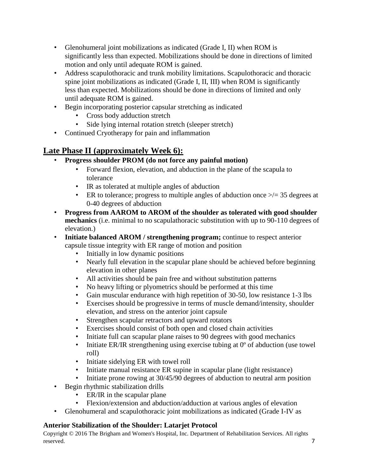- Glenohumeral joint mobilizations as indicated (Grade I, II) when ROM is significantly less than expected. Mobilizations should be done in directions of limited motion and only until adequate ROM is gained.
- Address scapulothoracic and trunk mobility limitations. Scapulothoracic and thoracic spine joint mobilizations as indicated (Grade I, II, III) when ROM is significantly less than expected. Mobilizations should be done in directions of limited and only until adequate ROM is gained.
- Begin incorporating posterior capsular stretching as indicated
	- Cross body adduction stretch
	- Side lying internal rotation stretch (sleeper stretch)
- Continued Cryotherapy for pain and inflammation

## **Late Phase II (approximately Week 6):**

- **Progress shoulder PROM (do not force any painful motion)** 
	- Forward flexion, elevation, and abduction in the plane of the scapula to tolerance
	- IR as tolerated at multiple angles of abduction
	- ER to tolerance; progress to multiple angles of abduction once  $\geq$  = 35 degrees at 0-40 degrees of abduction
- **Progress from AAROM to AROM of the shoulder as tolerated with good shoulder mechanics** (i.e. minimal to no scapulathoracic substitution with up to 90-110 degrees of elevation.)
- **Initiate balanced AROM / strengthening program;** continue to respect anterior capsule tissue integrity with ER range of motion and position
	- Initially in low dynamic positions
	- Nearly full elevation in the scapular plane should be achieved before beginning elevation in other planes
	- All activities should be pain free and without substitution patterns
	- No heavy lifting or plyometrics should be performed at this time
	- Gain muscular endurance with high repetition of 30-50, low resistance 1-3 lbs
	- Exercises should be progressive in terms of muscle demand/intensity, shoulder elevation, and stress on the anterior joint capsule
	- Strengthen scapular retractors and upward rotators
	- Exercises should consist of both open and closed chain activities
	- Initiate full can scapular plane raises to 90 degrees with good mechanics
	- Initiate ER/IR strengthening using exercise tubing at 0<sup>o</sup> of abduction (use towel roll)
	- Initiate sidelying ER with towel roll
	- Initiate manual resistance ER supine in scapular plane (light resistance)
	- Initiate prone rowing at 30/45/90 degrees of abduction to neutral arm position
- Begin rhythmic stabilization drills
	- ER/IR in the scapular plane
	- Flexion/extension and abduction/adduction at various angles of elevation
- Glenohumeral and scapulothoracic joint mobilizations as indicated (Grade I-IV as

#### **Anterior Stabilization of the Shoulder: Latarjet Protocol**

Copyright © 2016 The Brigham and Women's Hospital, Inc. Department of Rehabilitation Services. All rights reserved. The served of the served of the served of the served of the served of the served of the served of the served of the served of the served of the served of the served of the served of the served of the served of th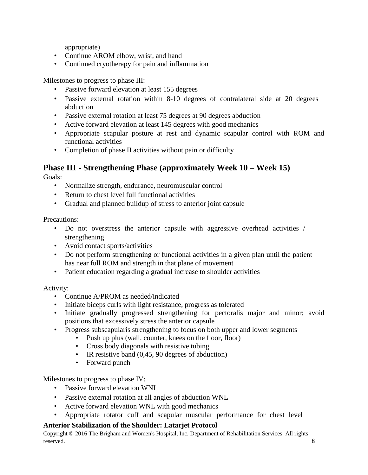appropriate)

- Continue AROM elbow, wrist, and hand
- Continued cryotherapy for pain and inflammation

Milestones to progress to phase III:

- Passive forward elevation at least 155 degrees
- Passive external rotation within 8-10 degrees of contralateral side at 20 degrees abduction
- Passive external rotation at least 75 degrees at 90 degrees abduction
- Active forward elevation at least 145 degrees with good mechanics
- Appropriate scapular posture at rest and dynamic scapular control with ROM and functional activities
- Completion of phase II activities without pain or difficulty

# **Phase III - Strengthening Phase (approximately Week 10 – Week 15)**

Goals:

- Normalize strength, endurance, neuromuscular control
- Return to chest level full functional activities
- Gradual and planned buildup of stress to anterior joint capsule

Precautions:

- Do not overstress the anterior capsule with aggressive overhead activities / strengthening
- Avoid contact sports/activities
- Do not perform strengthening or functional activities in a given plan until the patient has near full ROM and strength in that plane of movement
- Patient education regarding a gradual increase to shoulder activities

Activity:

- Continue A/PROM as needed/indicated
- Initiate biceps curls with light resistance, progress as tolerated
- Initiate gradually progressed strengthening for pectoralis major and minor; avoid positions that excessively stress the anterior capsule
- Progress subscapularis strengthening to focus on both upper and lower segments
	- Push up plus (wall, counter, knees on the floor, floor)
	- Cross body diagonals with resistive tubing
	- IR resistive band (0,45, 90 degrees of abduction)
	- Forward punch

Milestones to progress to phase IV:

- Passive forward elevation WNL
- Passive external rotation at all angles of abduction WNL
- Active forward elevation WNL with good mechanics
- Appropriate rotator cuff and scapular muscular performance for chest level

#### **Anterior Stabilization of the Shoulder: Latarjet Protocol**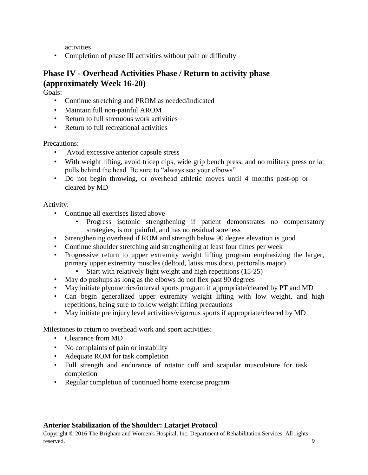activities

• Completion of phase III activities without pain or difficulty

### **Phase IV - Overhead Activities Phase / Return to activity phase (approximately Week 16-20)**

Goals:

- Continue stretching and PROM as needed/indicated
- Maintain full non-painful AROM
- Return to full strenuous work activities
- Return to full recreational activities

Precautions:

- Avoid excessive anterior capsule stress
- With weight lifting, avoid tricep dips, wide grip bench press, and no military press or lat pulls behind the head. Be sure to "always see your elbows"
- Do not begin throwing, or overhead athletic moves until 4 months post-op or cleared by MD

Activity:

- Continue all exercises listed above
	- Progress isotonic strengthening if patient demonstrates no compensatory strategies, is not painful, and has no residual soreness
- Strengthening overhead if ROM and strength below 90 degree elevation is good
- Continue shoulder stretching and strengthening at least four times per week
- Progressive return to upper extremity weight lifting program emphasizing the larger, primary upper extremity muscles (deltoid, latissimus dorsi, pectoralis major)
	- Start with relatively light weight and high repetitions (15-25)
- May do pushups as long as the elbows do not flex past 90 degrees
- May initiate plyometrics/interval sports program if appropriate/cleared by PT and MD
- Can begin generalized upper extremity weight lifting with low weight, and high repetitions, being sure to follow weight lifting precautions
- May initiate pre injury level activities/vigorous sports if appropriate/cleared by MD

Milestones to return to overhead work and sport activities:

- Clearance from MD
- No complaints of pain or instability
- Adequate ROM for task completion
- Full strength and endurance of rotator cuff and scapular musculature for task completion
- Regular completion of continued home exercise program

#### **Anterior Stabilization of the Shoulder: Latarjet Protocol**